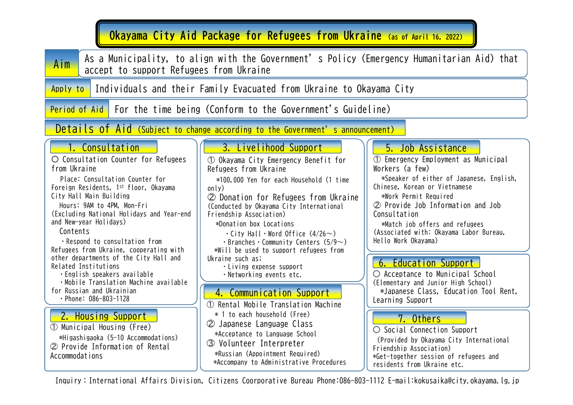## **Okayama City Aid Package for Refugees from Ukraine (as of April 16, 2022)** As a Municipality, to align with the Government's Policy (Emergency Humanitarian Aid) that accept to support Refugees from Ukraine Aim Details of Aid (Subject to change according to the Government's announcement) Apply to Individuals and their Family Evacuated from Ukraine to Okayama City Period of Aid For the time being (Conform to the Government's Guideline) ① Municipal Housing (Free) \*Higashigaoka (5-10 Accommodations) ② Provide Information of Rental Accommodations 2. Housing Support ① Okayama City Emergency Benefit for Refugees from Ukraine \*100,000 Yen for each Household (1 time only) ② Donation for Refugees from Ukraine (Conducted by Okayama City International Friendship Association) \*Donation box Locations  $\cdot$  City Hall  $\cdot$  Word Office (4/26 $\sim$ ) ・Branches・Community Centers (5/9 $\sim$ ) \*Will be used to support refugees from Ukraine such as; ・Living expense support ・Networking events etc. ① Rental Mobile Translation Machine \* 1 to each household (Free) ② Japanese Language Class \*Acceptance to Language School ③ Volunteer Interpreter \*Russian (Appointment Required) \*Accompany to Administrative Procedures 4. Communication Support ① Emergency Employment as Municipal Workers (a few) \*Speaker of either of Japanese, English, Chinese, Korean or Vietnamese \*Work Permit Required ② Provide Job Information and Job Consultation \*Match job offers and refugees (Associated with: Okayama Labor Bureau, Hello Work Okayama) 5. Job Assistance ○ Acceptance to Municipal School (Elementary and Junior High School) \*Japanese Class, Education Tool Rent, Learning Support 6. Education Support ○ Social Connection Support (Provided by Okayama City International Friendship Association) \*Get-together session of refugees and residents from Ukraine etc. 7. Others 〇 Consultation Counter for Refugees from Ukraine Place: Consultation Counter for Foreign Residents, 1 st floor, Okayama City Hall Main Building Hours: 9AM to 4PM, Mon-Fri (Excluding National Holidays and Year-end and New-year Holidays) Contents ・Respond to consultation from Refugees from Ukraine, cooperating with other departments of the City Hall and Related Institutions ・English speakers available ・Mobile Translation Machine available for Russian and Ukrainian ・Phone: 086-803-1128 1. Consultation 3. Livelihood Support

Inquiry:International Affairs Division, Citizens Coorporative Bureau Phone:086-803-1112 E-mail:[kokusaika@city.okayama.lg.jp](mailto:kokusaika@city.okayama.lg.jp)